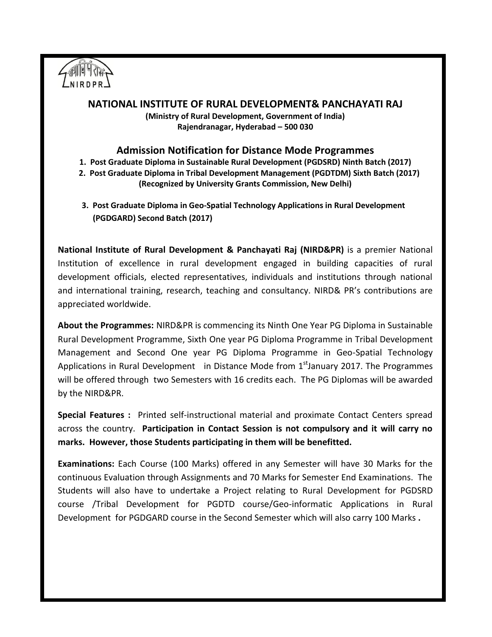

## **NATIONAL INSTITUTE OF RURAL DEVELOPMENT& PANCHAYATI RAJ**

**(Ministry of Rural Development, Government of India) Rajendranagar, Hyderabad – 500 030**

## **Admission Notification for Distance Mode Programmes**

- **1. Post Graduate Diploma in Sustainable Rural Development (PGDSRD) Ninth Batch (2017)**
- **2. Post Graduate Diploma in Tribal Development Management (PGDTDM) Sixth Batch (2017) (Recognized by University Grants Commission, New Delhi)**
- **3. Post Graduate Diploma in Geo-Spatial Technology Applications in Rural Development (PGDGARD) Second Batch (2017)**

**National Institute of Rural Development & Panchayati Raj (NIRD&PR)** is a premier National Institution of excellence in rural development engaged in building capacities of rural development officials, elected representatives, individuals and institutions through national and international training, research, teaching and consultancy. NIRD& PR's contributions are appreciated worldwide.

**About the Programmes:** NIRD&PR is commencing its Ninth One Year PG Diploma in Sustainable Rural Development Programme, Sixth One year PG Diploma Programme in Tribal Development Management and Second One year PG Diploma Programme in Geo-Spatial Technology Applications in Rural Development in Distance Mode from 1<sup>st</sup>January 2017. The Programmes will be offered through two Semesters with 16 credits each. The PG Diplomas will be awarded by the NIRD&PR.

**Special Features :** Printed self-instructional material and proximate Contact Centers spread across the country. **Participation in Contact Session is not compulsory and it will carry no marks. However, those Students participating in them will be benefitted.**

**Examinations:** Each Course (100 Marks) offered in any Semester will have 30 Marks for the continuous Evaluation through Assignments and 70 Marks for Semester End Examinations. The Students will also have to undertake a Project relating to Rural Development for PGDSRD course /Tribal Development for PGDTD course/Geo-informatic Applications in Rural Development for PGDGARD course in the Second Semester which will also carry 100 Marks **.**